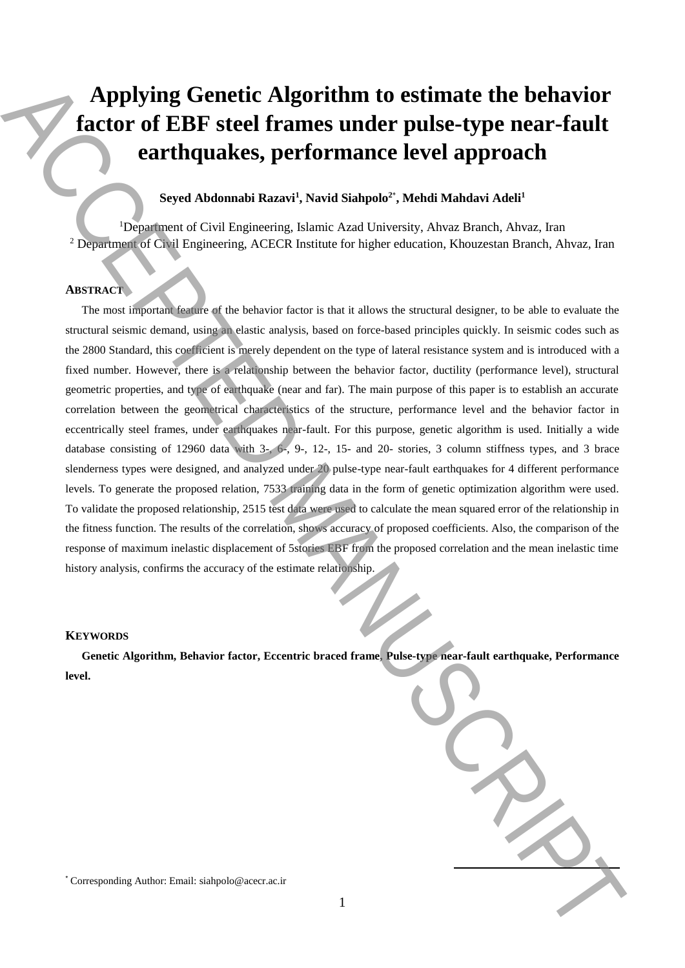# **Applying Genetic Algorithm to estimate the behavior factor of EBF steel frames under pulse-type near-fault earthquakes, performance level approach**

# **Seyed Abdonnabi Razavi<sup>1</sup> , Navid Siahpolo<sup>2</sup>**\* **, Mehdi Mahdavi Adeli<sup>1</sup>**

<sup>1</sup>Department of Civil Engineering, Islamic Azad University, Ahvaz Branch, Ahvaz, Iran <sup>2</sup> Department of Civil Engineering, ACECR Institute for higher education, Khouzestan Branch, Ahvaz, Iran

# **ABSTRACT**

The most important feature of the behavior factor is that it allows the structural designer, to be able to evaluate the structural seismic demand, using an elastic analysis, based on force-based principles quickly. In seismic codes such as the 2800 Standard, this coefficient is merely dependent on the type of lateral resistance system and is introduced with a fixed number. However, there is a relationship between the behavior factor, ductility (performance level), structural geometric properties, and type of earthquake (near and far). The main purpose of this paper is to establish an accurate correlation between the geometrical characteristics of the structure, performance level and the behavior factor in eccentrically steel frames, under earthquakes near-fault. For this purpose, genetic algorithm is used. Initially a wide database consisting of 12960 data with 3-, 6-, 9-, 12-, 15- and 20- stories, 3 column stiffness types, and 3 brace slenderness types were designed, and analyzed under 20 pulse-type near-fault earthquakes for 4 different performance levels. To generate the proposed relation, 7533 training data in the form of genetic optimization algorithm were used. To validate the proposed relationship, 2515 test data were used to calculate the mean squared error of the relationship in the fitness function. The results of the correlation, shows accuracy of proposed coefficients. Also, the comparison of the response of maximum inelastic displacement of 5stories EBF from the proposed correlation and the mean inelastic time history analysis, confirms the accuracy of the estimate relationship. Applying Genetic Algorithm to estimate the behavior<br>
carthquakes, performance level approach<br>
carthquakes, performance level approach<br>
carthquakes, performance level approach<br>
<sup>1</sup>Digitimes of contains the manuscript about

## **KEYWORDS**

**Genetic Algorithm, Behavior factor, Eccentric braced frame, Pulse-type near-fault earthquake, Performance level.**

**.**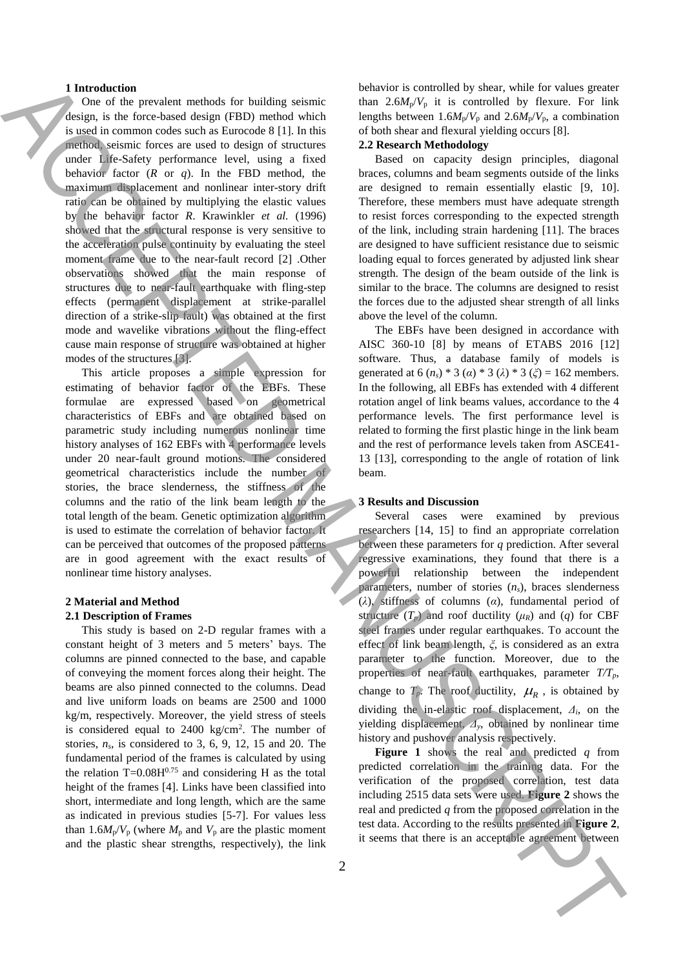## **1 Introduction**

One of the prevalent methods for building seismic design, is the force-based design (FBD) method which is used in common codes such as Eurocode 8 [1]. In this method, seismic forces are used to design of structures under Life-Safety performance level, using a fixed behavior factor (*R* or *q*). In the FBD method, the maximum displacement and nonlinear inter-story drift ratio can be obtained by multiplying the elastic values by the behavior factor *R*. Krawinkler *et al.* (1996) showed that the structural response is very sensitive to the acceleration pulse continuity by evaluating the steel moment frame due to the near-fault record [2] .Other observations showed that the main response of structures due to near-fault earthquake with fling-step effects (permanent displacement at strike-parallel direction of a strike-slip fault) was obtained at the first mode and wavelike vibrations without the fling-effect cause main response of structure was obtained at higher modes of the structures [3]. Interesting with the second and the second agreement between ACCEPTE and the second agreement between ACCEPTE and the second agreement between ACCEPTE and the second agreement between ACCEPTE and the second agreement betw

This article proposes a simple expression for estimating of behavior factor of the EBFs. These formulae are expressed based on geometrical characteristics of EBFs and are obtained based on parametric study including numerous nonlinear time history analyses of 162 EBFs with 4 performance levels under 20 near-fault ground motions. The considered geometrical characteristics include the number of stories, the brace slenderness, the stiffness of the columns and the ratio of the link beam length to the total length of the beam. Genetic optimization algorithm is used to estimate the correlation of behavior factor. It can be perceived that outcomes of the proposed patterns are in good agreement with the exact results of nonlinear time history analyses.

# **2 Material and Method 2.1 Description of Frames**

This study is based on 2-D regular frames with a constant height of 3 meters and 5 meters' bays. The columns are pinned connected to the base, and capable of conveying the moment forces along their height. The beams are also pinned connected to the columns. Dead and live uniform loads on beams are 2500 and 1000 kg/m, respectively. Moreover, the yield stress of steels is considered equal to  $2400 \text{ kg/cm}^2$ . The number of stories, *ns*, is considered to 3, 6, 9, 12, 15 and 20. The fundamental period of the frames is calculated by using the relation  $T=0.08H^{0.75}$  and considering H as the total height of the frames [4]. Links have been classified into short, intermediate and long length, which are the same as indicated in previous studies [5-7]. For values less than 1.6 $M_p/V_p$  (where  $M_p$  and  $V_p$  are the plastic moment and the plastic shear strengths, respectively), the link

behavior is controlled by shear, while for values greater than  $2.6M_p/V_p$  it is controlled by flexure. For link lengths between 1.6*M*p/*V*<sup>p</sup> and 2.6*M*p/*V*p, a combination of both shear and flexural yielding occurs [8].

# **2.2 Research Methodology**

Based on capacity design principles, diagonal braces, columns and beam segments outside of the links are designed to remain essentially elastic [9, 10]. Therefore, these members must have adequate strength to resist forces corresponding to the expected strength of the link, including strain hardening [11]. The braces are designed to have sufficient resistance due to seismic loading equal to forces generated by adjusted link shear strength. The design of the beam outside of the link is similar to the brace. The columns are designed to resist the forces due to the adjusted shear strength of all links above the level of the column.

The EBFs have been designed in accordance with AISC 360-10 [8] by means of ETABS 2016 [12] software. Thus, a database family of models is generated at 6 (*n<sub>s</sub>*) \* 3 (*α*) \* 3 (*λ*) \* 3 (*ξ*) = 162 members. In the following, all EBFs has extended with 4 different rotation angel of link beams values, accordance to the 4 performance levels. The first performance level is related to forming the first plastic hinge in the link beam and the rest of performance levels taken from ASCE41- 13 [13], corresponding to the angle of rotation of link beam.

### **3 Results and Discussion**

Several cases were examined by previous researchers [14, 15] to find an appropriate correlation between these parameters for *q* prediction. After several regressive examinations, they found that there is a powerful relationship between the independent parameters, number of stories (*ns*), braces slenderness (*λ*), stiffness of columns (*α*), fundamental period of structure  $(T_p)$  and roof ductility  $(\mu_R)$  and  $(q)$  for CBF steel frames under regular earthquakes. To account the effect of link beam length, *ξ*, is considered as an extra parameter to the function. Moreover, due to the properties of near-fault earthquakes, parameter *T/Tp*, change to  $T_p$ . The roof ductility,  $\mu_R$ , is obtained by dividing the in-elastic roof displacement, *Δi*, on the yielding displacement, *Δy*, obtained by nonlinear time history and pushover analysis respectively.

**Figure 1** shows the real and predicted *q* from predicted correlation in the training data. For the verification of the proposed correlation, test data including 2515 data sets were used. **Figure 2** shows the real and predicted *q* from the proposed correlation in the test data. According to the results presented in **Figure 2**,